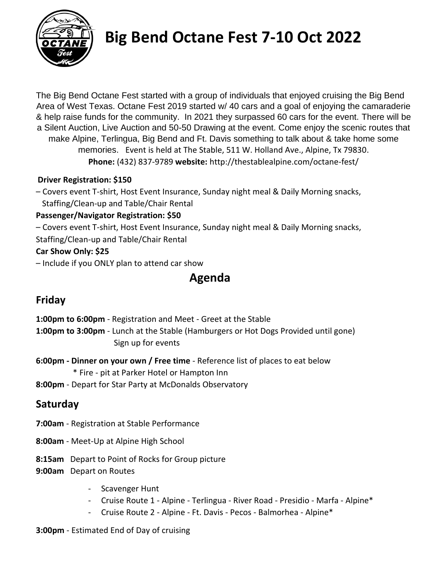

# **Big Bend Octane Fest 7-10 Oct 2022**

The Big Bend Octane Fest started with a group of individuals that enjoyed cruising the Big Bend Area of West Texas. Octane Fest 2019 started w/ 40 cars and a goal of enjoying the camaraderie & help raise funds for the community. In 2021 they surpassed 60 cars for the event. There will be a Silent Auction, Live Auction and 50-50 Drawing at the event. Come enjoy the scenic routes that make Alpine, Terlingua, Big Bend and Ft. Davis something to talk about & take home some memories. Event is held at The Stable, 511 W. Holland Ave., Alpine, Tx 79830. **Phone:** (432) 837-9789 **website:** http://thestablealpine.com/octane-fest/

#### **Driver Registration: \$150**

– Covers event T-shirt, Host Event Insurance, Sunday night meal & Daily Morning snacks, Staffing/Clean-up and Table/Chair Rental

#### **Passenger/Navigator Registration: \$50**

- Covers event T-shirt, Host Event Insurance, Sunday night meal & Daily Morning snacks,
- Staffing/Clean-up and Table/Chair Rental

### **Car Show Only: \$25**

– Include if you ONLY plan to attend car show

# **Agenda**

# **Friday**

- **1:00pm to 6:00pm** Registration and Meet Greet at the Stable
- **1:00pm to 3:00pm** Lunch at the Stable (Hamburgers or Hot Dogs Provided until gone) Sign up for events
- **6:00pm - Dinner on your own / Free time** Reference list of places to eat below
	- \* Fire pit at Parker Hotel or Hampton Inn
- **8:00pm** Depart for Star Party at McDonalds Observatory

# **Saturday**

- **7:00am** Registration at Stable Performance
- **8:00am** Meet-Up at Alpine High School
- **8:15am** Depart to Point of Rocks for Group picture
- **9:00am** Depart on Routes
	- Scavenger Hunt
	- Cruise Route 1 Alpine Terlingua River Road Presidio Marfa Alpine\*
	- Cruise Route 2 Alpine Ft. Davis Pecos Balmorhea Alpine\*

#### **3:00pm** - Estimated End of Day of cruising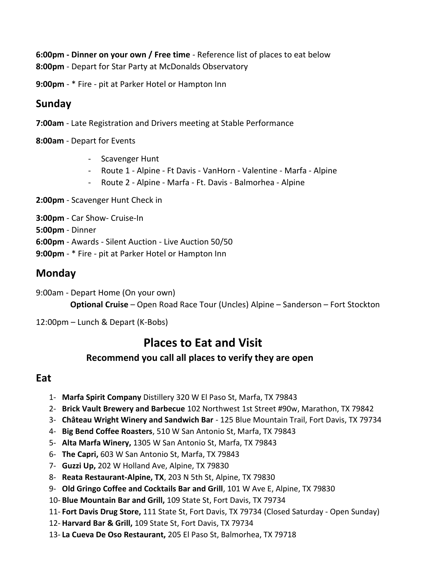**6:00pm - Dinner on your own / Free time** - Reference list of places to eat below **8:00pm** - Depart for Star Party at McDonalds Observatory

**9:00pm** - \* Fire - pit at Parker Hotel or Hampton Inn

## **Sunday**

**7:00am** - Late Registration and Drivers meeting at Stable Performance

**8:00am** - Depart for Events

- Scavenger Hunt
- Route 1 Alpine Ft Davis VanHorn Valentine Marfa Alpine
- Route 2 Alpine Marfa Ft. Davis Balmorhea Alpine

**2:00pm** - Scavenger Hunt Check in

**3:00pm** - Car Show- Cruise-In

**5:00pm** - Dinner

**6:00pm** - Awards - Silent Auction - Live Auction 50/50

**9:00pm** - \* Fire - pit at Parker Hotel or Hampton Inn

## **Monday**

- 9:00am Depart Home (On your own) **Optional Cruise** – Open Road Race Tour (Uncles) Alpine – Sanderson – Fort Stockton
- 12:00pm Lunch & Depart (K-Bobs)

# **Places to Eat and Visit**

## **Recommend you call all places to verify they are open**

#### **Eat**

- 1- **Marfa Spirit Company** Distillery 320 W El Paso St, Marfa, TX 79843
- 2- **Brick Vault Brewery and Barbecue** 102 Northwest 1st Street #90w, Marathon, TX 79842
- 3- **Château Wright Winery and Sandwich Bar** 125 Blue Mountain Trail, Fort Davis, TX 79734
- 4- **Big Bend Coffee Roasters**, 510 W San Antonio St, Marfa, TX 79843
- 5- **Alta Marfa Winery,** 1305 W San Antonio St, Marfa, TX 79843
- 6- **The Capri,** 603 W San Antonio St, Marfa, TX 79843
- 7- **Guzzi Up,** 202 W Holland Ave, Alpine, TX 79830
- 8- **Reata Restaurant-Alpine, TX**, 203 N 5th St, Alpine, TX 79830
- 9- **Old Gringo Coffee and Cocktails Bar and Grill**, 101 W Ave E, Alpine, TX 79830
- 10- **Blue Mountain Bar and Grill,** 109 State St, Fort Davis, TX 79734
- 11- **Fort Davis Drug Store,** 111 State St, Fort Davis, TX 79734 (Closed Saturday Open Sunday)
- 12- **Harvard Bar & Grill,** 109 State St, Fort Davis, TX 79734
- 13- **La Cueva De Oso Restaurant,** 205 El Paso St, Balmorhea, TX 79718